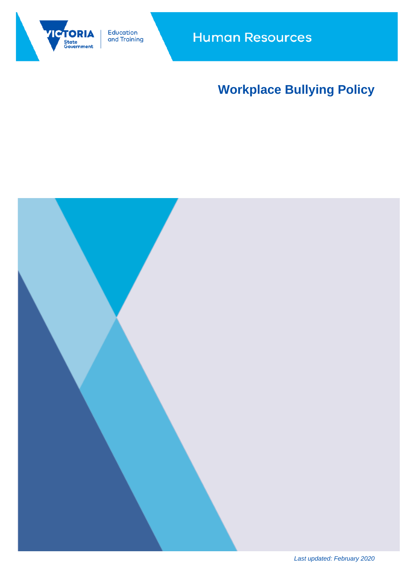

Education<br>and Training

# **Workplace Bullying Policy**



*Last updated: February 2020*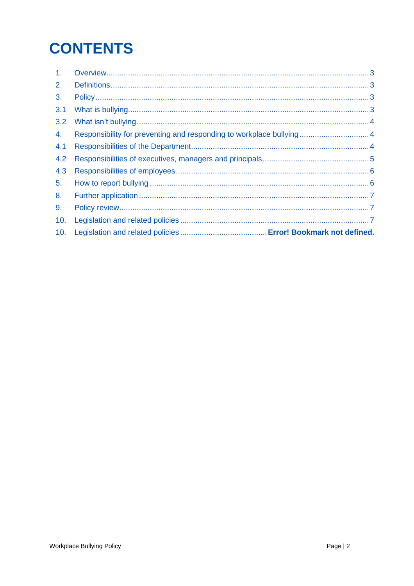# **CONTENTS**

| 1 <sub>1</sub> |                                                                      |  |
|----------------|----------------------------------------------------------------------|--|
| 2.             |                                                                      |  |
| 3.             |                                                                      |  |
| 3.1            |                                                                      |  |
| 3.2            |                                                                      |  |
| 4.             | Responsibility for preventing and responding to workplace bullying 4 |  |
| 4.1            |                                                                      |  |
| 4.2            |                                                                      |  |
| 4.3            |                                                                      |  |
| 5 <sub>1</sub> |                                                                      |  |
| 8.             |                                                                      |  |
| 9.             |                                                                      |  |
| 10.            |                                                                      |  |
| 10.            |                                                                      |  |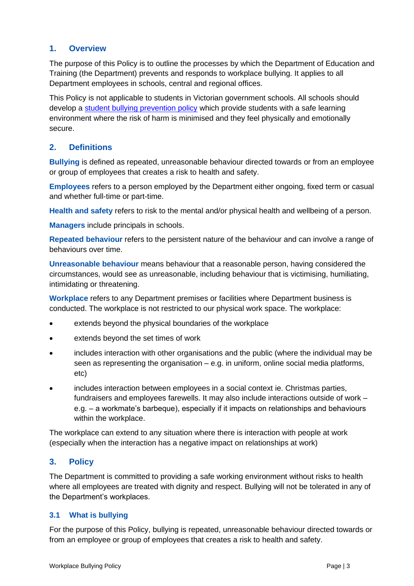# **1. Overview**

The purpose of this Policy is to outline the processes by which the Department of Education and Training (the Department) prevents and responds to workplace bullying. It applies to all Department employees in schools, central and regional offices.

This Policy is not applicable to students in Victorian government schools. All schools should develop a [student bullying prevention policy](http://www.education.vic.gov.au/school/principals/spag/safety/Pages/bullying.aspx) which provide students with a safe learning environment where the risk of harm is minimised and they feel physically and emotionally secure.

# **2. Definitions**

**Bullying** is defined as repeated, unreasonable behaviour directed towards or from an employee or group of employees that creates a risk to health and safety.

**Employees** refers to a person employed by the Department either ongoing, fixed term or casual and whether full-time or part-time.

**Health and safety** refers to risk to the mental and/or physical health and wellbeing of a person.

**Managers** include principals in schools.

**Repeated behaviour** refers to the persistent nature of the behaviour and can involve a range of behaviours over time.

**Unreasonable behaviour** means behaviour that a reasonable person, having considered the circumstances, would see as unreasonable, including behaviour that is victimising, humiliating, intimidating or threatening.

**Workplace** refers to any Department premises or facilities where Department business is conducted. The workplace is not restricted to our physical work space. The workplace:

- extends beyond the physical boundaries of the workplace
- extends beyond the set times of work
- includes interaction with other organisations and the public (where the individual may be seen as representing the organisation – e.g. in uniform, online social media platforms, etc)
- includes interaction between employees in a social context ie. Christmas parties, fundraisers and employees farewells. It may also include interactions outside of work – e.g. – a workmate's barbeque), especially if it impacts on relationships and behaviours within the workplace.

The workplace can extend to any situation where there is interaction with people at work (especially when the interaction has a negative impact on relationships at work)

# **3. Policy**

The Department is committed to providing a safe working environment without risks to health where all employees are treated with dignity and respect. Bullying will not be tolerated in any of the Department's workplaces.

#### **3.1 What is bullying**

For the purpose of this Policy, bullying is repeated, unreasonable behaviour directed towards or from an employee or group of employees that creates a risk to health and safety.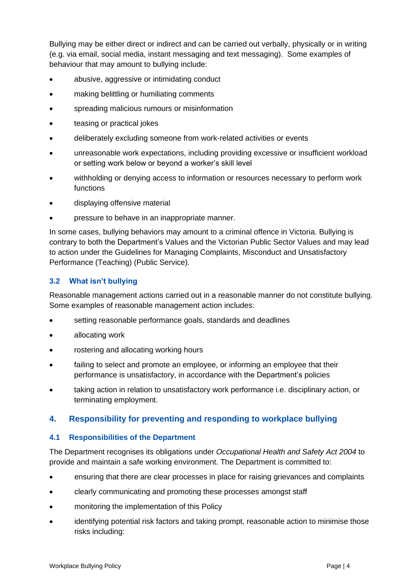Bullying may be either direct or indirect and can be carried out verbally, physically or in writing (e.g. via email, social media, instant messaging and text messaging). Some examples of behaviour that may amount to bullying include:

- abusive, aggressive or intimidating conduct
- making belittling or humiliating comments
- spreading malicious rumours or misinformation
- teasing or practical jokes
- deliberately excluding someone from work-related activities or events
- unreasonable work expectations, including providing excessive or insufficient workload or setting work below or beyond a worker's skill level
- withholding or denying access to information or resources necessary to perform work functions
- displaying offensive material
- pressure to behave in an inappropriate manner.

In some cases, bullying behaviors may amount to a criminal offence in Victoria. Bullying is contrary to both the Department's Values and the Victorian Public Sector Values and may lead to action under the Guidelines for Managing Complaints, Misconduct and Unsatisfactory Performance (Teaching) (Public Service).

#### **3.2 What isn't bullying**

Reasonable management actions carried out in a reasonable manner do not constitute bullying. Some examples of reasonable management action includes:

- setting reasonable performance goals, standards and deadlines
- allocating work
- rostering and allocating working hours
- failing to select and promote an employee, or informing an employee that their performance is unsatisfactory, in accordance with the Department's policies
- taking action in relation to unsatisfactory work performance i.e. disciplinary action, or terminating employment.

#### **4. Responsibility for preventing and responding to workplace bullying**

#### **4.1 Responsibilities of the Department**

The Department recognises its obligations under *Occupational Health and Safety Act 2004* to provide and maintain a safe working environment. The Department is committed to:

- ensuring that there are clear processes in place for raising grievances and complaints
- clearly communicating and promoting these processes amongst staff
- monitoring the implementation of this Policy
- identifying potential risk factors and taking prompt, reasonable action to minimise those risks including: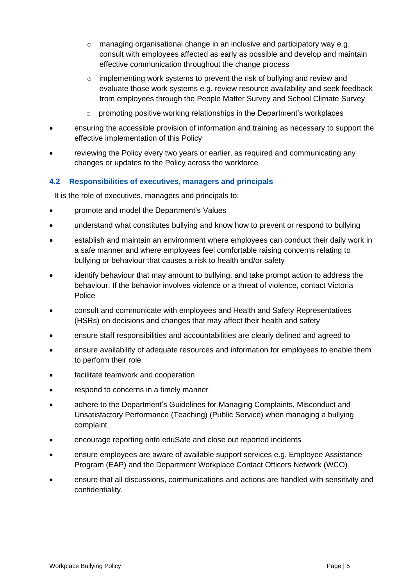- $\circ$  managing organisational change in an inclusive and participatory way e.g. consult with employees affected as early as possible and develop and maintain effective communication throughout the change process
- o implementing work systems to prevent the risk of bullying and review and evaluate those work systems e.g. review resource availability and seek feedback from employees through the People Matter Survey and School Climate Survey
- o promoting positive working relationships in the Department's workplaces
- ensuring the accessible provision of information and training as necessary to support the effective implementation of this Policy
- reviewing the Policy every two years or earlier, as required and communicating any changes or updates to the Policy across the workforce

#### **4.2 Responsibilities of executives, managers and principals**

It is the role of executives, managers and principals to:

- promote and model the Department's Values
- understand what constitutes bullying and know how to prevent or respond to bullying
- establish and maintain an environment where employees can conduct their daily work in a safe manner and where employees feel comfortable raising concerns relating to bullying or behaviour that causes a risk to health and/or safety
- identify behaviour that may amount to bullying, and take prompt action to address the behaviour. If the behavior involves violence or a threat of violence, contact Victoria **Police**
- consult and communicate with employees and Health and Safety Representatives (HSRs) on decisions and changes that may affect their health and safety
- ensure staff responsibilities and accountabilities are clearly defined and agreed to
- ensure availability of adequate resources and information for employees to enable them to perform their role
- facilitate teamwork and cooperation
- respond to concerns in a timely manner
- adhere to the Department's Guidelines for Managing Complaints, Misconduct and Unsatisfactory Performance (Teaching) (Public Service) when managing a bullying complaint
- encourage reporting onto eduSafe and close out reported incidents
- ensure employees are aware of available support services e.g. Employee Assistance Program (EAP) and the Department Workplace Contact Officers Network (WCO)
- ensure that all discussions, communications and actions are handled with sensitivity and confidentiality.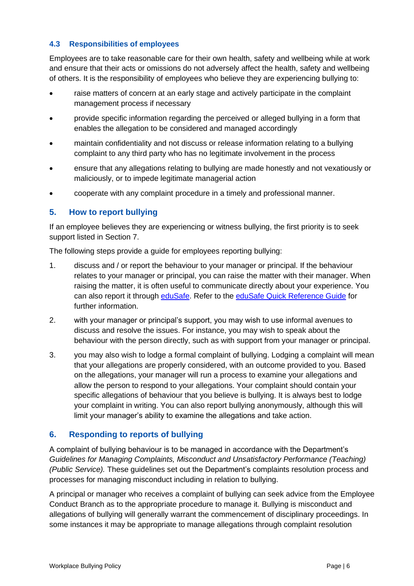#### **4.3 Responsibilities of employees**

Employees are to take reasonable care for their own health, safety and wellbeing while at work and ensure that their acts or omissions do not adversely affect the health, safety and wellbeing of others. It is the responsibility of employees who believe they are experiencing bullying to:

- raise matters of concern at an early stage and actively participate in the complaint management process if necessary
- provide specific information regarding the perceived or alleged bullying in a form that enables the allegation to be considered and managed accordingly
- maintain confidentiality and not discuss or release information relating to a bullying complaint to any third party who has no legitimate involvement in the process
- ensure that any allegations relating to bullying are made honestly and not vexatiously or maliciously, or to impede legitimate managerial action
- cooperate with any complaint procedure in a timely and professional manner.

# **5. How to report bullying**

If an employee believes they are experiencing or witness bullying, the first priority is to seek support listed in Section 7.

The following steps provide a guide for employees reporting bullying:

- 1. discuss and / or report the behaviour to your manager or principal. If the behaviour relates to your manager or principal, you can raise the matter with their manager. When raising the matter, it is often useful to communicate directly about your experience. You can also report it through [eduSafe.](https://www.eduweb.vic.gov.au/EduSafe/login.aspx?ReturnUrl=%2fedusafe%2fDefault.aspx%3fRedirect%3d1&Redirect=1) Refer to the [eduSafe Quick Reference Guide](http://www.education.vic.gov.au/hrweb/safetyhw/Pages/reportinjuryhazard.aspx) for further information.
- 2. with your manager or principal's support, you may wish to use informal avenues to discuss and resolve the issues. For instance, you may wish to speak about the behaviour with the person directly, such as with support from your manager or principal.
- 3. you may also wish to lodge a formal complaint of bullying. Lodging a complaint will mean that your allegations are properly considered, with an outcome provided to you. Based on the allegations, your manager will run a process to examine your allegations and allow the person to respond to your allegations. Your complaint should contain your specific allegations of behaviour that you believe is bullying. It is always best to lodge your complaint in writing. You can also report bullying anonymously, although this will limit your manager's ability to examine the allegations and take action.

#### **6. Responding to reports of bullying**

A complaint of bullying behaviour is to be managed in accordance with the Department's *Guidelines for Managing Complaints, Misconduct and Unsatisfactory Performance (Teaching) (Public Service).* These guidelines set out the Department's complaints resolution process and processes for managing misconduct including in relation to bullying.

A principal or manager who receives a complaint of bullying can seek advice from the Employee Conduct Branch as to the appropriate procedure to manage it. Bullying is misconduct and allegations of bullying will generally warrant the commencement of disciplinary proceedings. In some instances it may be appropriate to manage allegations through complaint resolution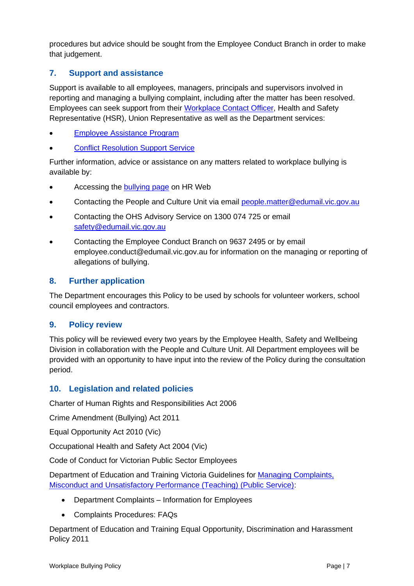procedures but advice should be sought from the Employee Conduct Branch in order to make that judgement.

# **7. Support and assistance**

Support is available to all employees, managers, principals and supervisors involved in reporting and managing a bullying complaint, including after the matter has been resolved. Employees can seek support from their [Workplace Contact Officer,](http://www.education.vic.gov.au/hrweb/divequity/Pages/WCONet.aspx) Health and Safety Representative (HSR), Union Representative as well as the Department services:

- [Employee Assistance Program](http://www.education.vic.gov.au/hrweb/safetyhw/Pages/employeeservices.aspx)
- **[Conflict Resolution Support Service](http://www.education.vic.gov.au/hrweb/safetyhw/Pages/employeeservices.aspx)**

Further information, advice or assistance on any matters related to workplace bullying is available by:

- Accessing the [bullying page](http://www.education.vic.gov.au/hrweb/safetyhw/Pages/workplacebullying.aspx) on HR Web
- Contacting the People and Culture Unit via email [people.matter@edumail.vic.gov.au](mailto:people.matter@edumail.vic.gov.au)
- Contacting the OHS Advisory Service on 1300 074 725 or email [safety@edumail.vic.gov.au](mailto:safety@edumail.vic.gov.au)
- Contacting the Employee Conduct Branch on 9637 2495 or by email employee.conduct@edumail.vic.gov.au for information on the managing or reporting of allegations of bullying.

# **8. Further application**

The Department encourages this Policy to be used by schools for volunteer workers, school council employees and contractors.

#### **9. Policy review**

This policy will be reviewed every two years by the Employee Health, Safety and Wellbeing Division in collaboration with the People and Culture Unit. All Department employees will be provided with an opportunity to have input into the review of the Policy during the consultation period.

#### **10. Legislation and related policies**

Charter of Human Rights and Responsibilities Act 2006

Crime Amendment (Bullying) Act 2011

Equal Opportunity Act 2010 (Vic)

Occupational Health and Safety Act 2004 (Vic)

Code of Conduct for Victorian Public Sector Employees

Department of Education and Training Victoria Guidelines for [Managing Complaints,](http://www.education.vic.gov.au/hrweb/workm/Pages/conduct.aspx)  [Misconduct and Unsatisfactory Performance \(Teaching\) \(Public Service\):](http://www.education.vic.gov.au/hrweb/workm/Pages/conduct.aspx)

- Department Complaints Information for Employees
- Complaints Procedures: FAQs

Department of Education and Training Equal Opportunity, Discrimination and Harassment Policy 2011